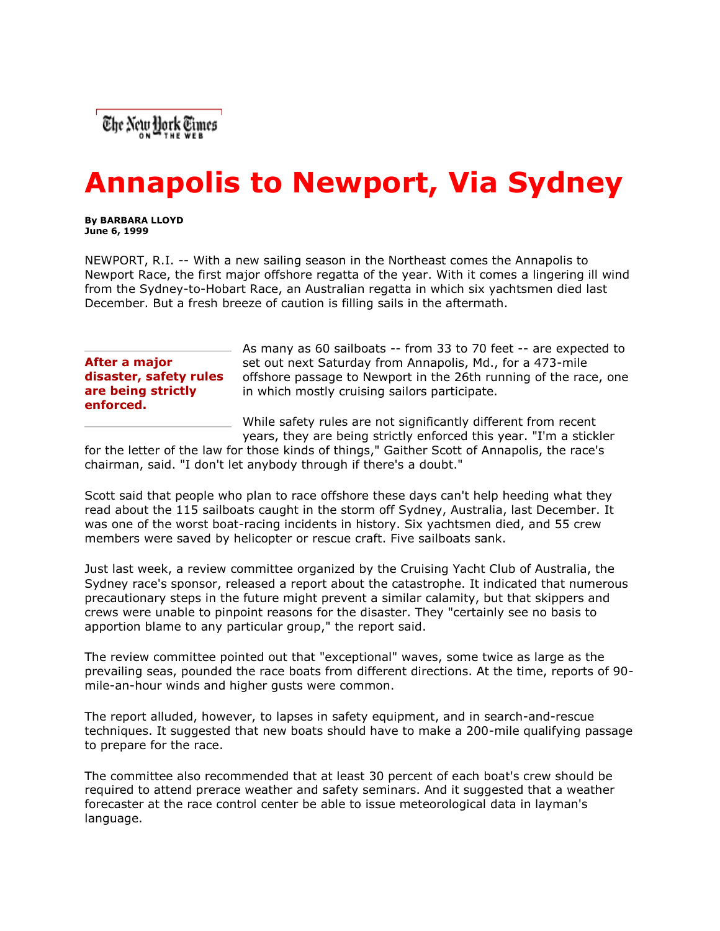

## **Annapolis to Newport, Via Sydney**

**By BARBARA LLOYD June 6, 1999**

NEWPORT, R.I. -- With a new sailing season in the Northeast comes the Annapolis to Newport Race, the first major offshore regatta of the year. With it comes a lingering ill wind from the Sydney-to-Hobart Race, an Australian regatta in which six yachtsmen died last December. But a fresh breeze of caution is filling sails in the aftermath.

## **After a major disaster, safety rules are being strictly enforced.**

As many as 60 sailboats -- from 33 to 70 feet -- are expected to set out next Saturday from Annapolis, Md., for a 473-mile offshore passage to Newport in the 26th running of the race, one in which mostly cruising sailors participate.

While safety rules are not significantly different from recent years, they are being strictly enforced this year. "I'm a stickler

for the letter of the law for those kinds of things," Gaither Scott of Annapolis, the race's chairman, said. "I don't let anybody through if there's a doubt."

Scott said that people who plan to race offshore these days can't help heeding what they read about the 115 sailboats caught in the storm off Sydney, Australia, last December. It was one of the worst boat-racing incidents in history. Six yachtsmen died, and 55 crew members were saved by helicopter or rescue craft. Five sailboats sank.

Just last week, a review committee organized by the Cruising Yacht Club of Australia, the Sydney race's sponsor, released a report about the catastrophe. It indicated that numerous precautionary steps in the future might prevent a similar calamity, but that skippers and crews were unable to pinpoint reasons for the disaster. They "certainly see no basis to apportion blame to any particular group," the report said.

The review committee pointed out that "exceptional" waves, some twice as large as the prevailing seas, pounded the race boats from different directions. At the time, reports of 90 mile-an-hour winds and higher gusts were common.

The report alluded, however, to lapses in safety equipment, and in search-and-rescue techniques. It suggested that new boats should have to make a 200-mile qualifying passage to prepare for the race.

The committee also recommended that at least 30 percent of each boat's crew should be required to attend prerace weather and safety seminars. And it suggested that a weather forecaster at the race control center be able to issue meteorological data in layman's language.